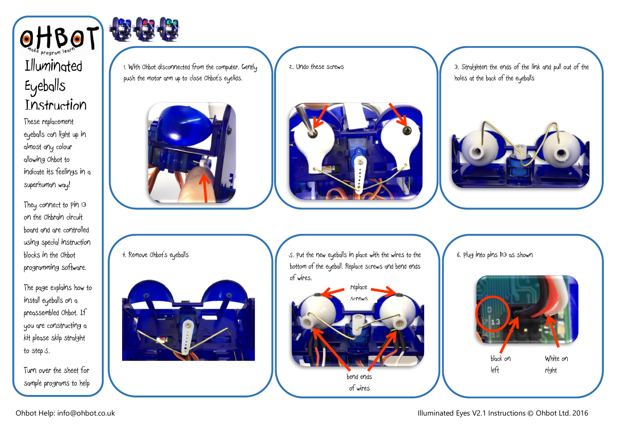



The page explains how to install eyeballs on a preassembled Ohbot. If you are constructing a kit please skip straight to step 5.

Turn over the sheet for sample programs to help

get you started.



1. With Ohbot disconnected from the computer. Gently push the motor arm up to close Ohbot's eyelids.



4. Remove Ohbot's eyeballs



2. Undo these screws



3. Straighten the ends of the link and pull out of the holes at the back of the eyeballs



5. Put the new eyeballs in place with the wires to the bottom of the eyeball. Replace screws and bend ends of wires.



6. Plug into pins D13 as shown